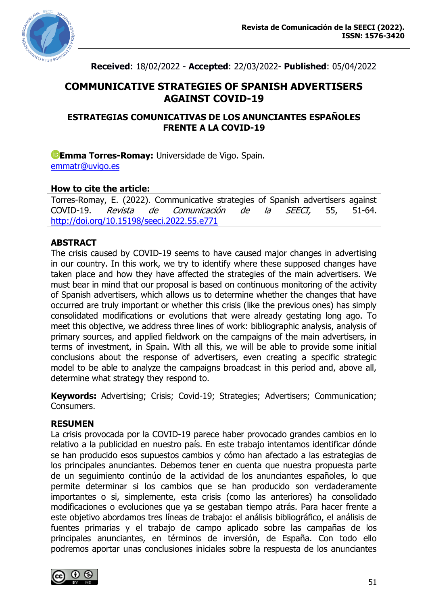

**Received**: 18/02/2022 - **Accepted**: 22/03/2022- **Published**: 05/04/2022

# **COMMUNICATIVE STRATEGIES OF SPANISH ADVERTISERS AGAINST COVID-19**

### **ESTRATEGIAS COMUNICATIVAS DE LOS ANUNCIANTES ESPAÑOLES FRENTE A LA COVID-19**

**[E](https://orcid.org/0000-0002-8938-0243)mma Torres-Romay:** Universidade de Vigo. Spain. [emmatr@uvigo.es](mailto:emmatr@uvigo.es)

### **How to cite the article:**

Torres-Romay, E. (2022). Communicative strategies of Spanish advertisers against COVID-19. Revista de Comunicación de la SEECI, 55, 51-64. <http://doi.org/10.15198/seeci.2022.55.e771>

## **ABSTRACT**

The crisis caused by COVID-19 seems to have caused major changes in advertising in our country. In this work, we try to identify where these supposed changes have taken place and how they have affected the strategies of the main advertisers. We must bear in mind that our proposal is based on continuous monitoring of the activity of Spanish advertisers, which allows us to determine whether the changes that have occurred are truly important or whether this crisis (like the previous ones) has simply consolidated modifications or evolutions that were already gestating long ago. To meet this objective, we address three lines of work: bibliographic analysis, analysis of primary sources, and applied fieldwork on the campaigns of the main advertisers, in terms of investment, in Spain. With all this, we will be able to provide some initial conclusions about the response of advertisers, even creating a specific strategic model to be able to analyze the campaigns broadcast in this period and, above all, determine what strategy they respond to.

**Keywords:** Advertising; Crisis; Covid-19; Strategies; Advertisers; Communication; Consumers.

### **RESUMEN**

La crisis provocada por la COVID-19 parece haber provocado grandes cambios en lo relativo a la publicidad en nuestro país. En este trabajo intentamos identificar dónde se han producido esos supuestos cambios y cómo han afectado a las estrategias de los principales anunciantes. Debemos tener en cuenta que nuestra propuesta parte de un seguimiento continúo de la actividad de los anunciantes españoles, lo que permite determinar si los cambios que se han producido son verdaderamente importantes o si, simplemente, esta crisis (como las anteriores) ha consolidado modificaciones o evoluciones que ya se gestaban tiempo atrás. Para hacer frente a este objetivo abordamos tres líneas de trabajo: el análisis bibliográfico, el análisis de fuentes primarias y el trabajo de campo aplicado sobre las campañas de los principales anunciantes, en términos de inversión, de España. Con todo ello podremos aportar unas conclusiones iniciales sobre la respuesta de los anunciantes

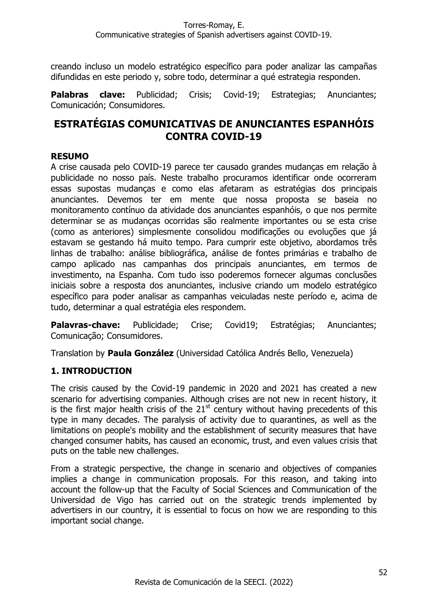creando incluso un modelo estratégico específico para poder analizar las campañas difundidas en este periodo y, sobre todo, determinar a qué estrategia responden.

**Palabras clave:** Publicidad; Crisis; Covid-19; Estrategias; Anunciantes; Comunicación; Consumidores.

# **ESTRATÉGIAS COMUNICATIVAS DE ANUNCIANTES ESPANHÓIS CONTRA COVID-19**

## **RESUMO**

A crise causada pelo COVID-19 parece ter causado grandes mudanças em relação à publicidade no nosso país. Neste trabalho procuramos identificar onde ocorreram essas supostas mudanças e como elas afetaram as estratégias dos principais anunciantes. Devemos ter em mente que nossa proposta se baseia no monitoramento contínuo da atividade dos anunciantes espanhóis, o que nos permite determinar se as mudanças ocorridas são realmente importantes ou se esta crise (como as anteriores) simplesmente consolidou modificações ou evoluções que já estavam se gestando há muito tempo. Para cumprir este objetivo, abordamos três linhas de trabalho: análise bibliográfica, análise de fontes primárias e trabalho de campo aplicado nas campanhas dos principais anunciantes, em termos de investimento, na Espanha. Com tudo isso poderemos fornecer algumas conclusões iniciais sobre a resposta dos anunciantes, inclusive criando um modelo estratégico específico para poder analisar as campanhas veiculadas neste período e, acima de tudo, determinar a qual estratégia eles respondem.

**Palavras-chave:** Publicidade; Crise; Covid19; Estratégias; Anunciantes; Comunicação; Consumidores.

Translation by **Paula González** (Universidad Católica Andrés Bello, Venezuela)

## **1. INTRODUCTION**

The crisis caused by the Covid-19 pandemic in 2020 and 2021 has created a new scenario for advertising companies. Although crises are not new in recent history, it is the first major health crisis of the  $21<sup>st</sup>$  century without having precedents of this type in many decades. The paralysis of activity due to quarantines, as well as the limitations on people's mobility and the establishment of security measures that have changed consumer habits, has caused an economic, trust, and even values crisis that puts on the table new challenges.

From a strategic perspective, the change in scenario and objectives of companies implies a change in communication proposals. For this reason, and taking into account the follow-up that the Faculty of Social Sciences and Communication of the Universidad de Vigo has carried out on the strategic trends implemented by advertisers in our country, it is essential to focus on how we are responding to this important social change.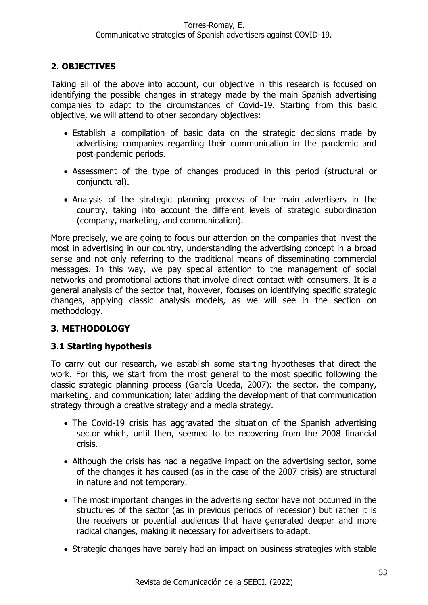## **2. OBJECTIVES**

Taking all of the above into account, our objective in this research is focused on identifying the possible changes in strategy made by the main Spanish advertising companies to adapt to the circumstances of Covid-19. Starting from this basic objective, we will attend to other secondary objectives:

- Establish a compilation of basic data on the strategic decisions made by advertising companies regarding their communication in the pandemic and post-pandemic periods.
- Assessment of the type of changes produced in this period (structural or conjunctural).
- Analysis of the strategic planning process of the main advertisers in the country, taking into account the different levels of strategic subordination (company, marketing, and communication).

More precisely, we are going to focus our attention on the companies that invest the most in advertising in our country, understanding the advertising concept in a broad sense and not only referring to the traditional means of disseminating commercial messages. In this way, we pay special attention to the management of social networks and promotional actions that involve direct contact with consumers. It is a general analysis of the sector that, however, focuses on identifying specific strategic changes, applying classic analysis models, as we will see in the section on methodology.

## **3. METHODOLOGY**

## **3.1 Starting hypothesis**

To carry out our research, we establish some starting hypotheses that direct the work. For this, we start from the most general to the most specific following the classic strategic planning process (García Uceda, 2007): the sector, the company, marketing, and communication; later adding the development of that communication strategy through a creative strategy and a media strategy.

- The Covid-19 crisis has aggravated the situation of the Spanish advertising sector which, until then, seemed to be recovering from the 2008 financial crisis.
- Although the crisis has had a negative impact on the advertising sector, some of the changes it has caused (as in the case of the 2007 crisis) are structural in nature and not temporary.
- The most important changes in the advertising sector have not occurred in the structures of the sector (as in previous periods of recession) but rather it is the receivers or potential audiences that have generated deeper and more radical changes, making it necessary for advertisers to adapt.
- Strategic changes have barely had an impact on business strategies with stable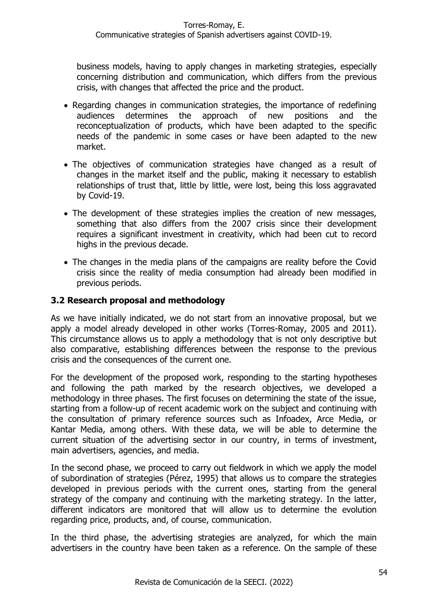business models, having to apply changes in marketing strategies, especially concerning distribution and communication, which differs from the previous crisis, with changes that affected the price and the product.

- Regarding changes in communication strategies, the importance of redefining audiences determines the approach of new positions and the reconceptualization of products, which have been adapted to the specific needs of the pandemic in some cases or have been adapted to the new market.
- The objectives of communication strategies have changed as a result of changes in the market itself and the public, making it necessary to establish relationships of trust that, little by little, were lost, being this loss aggravated by Covid-19.
- The development of these strategies implies the creation of new messages, something that also differs from the 2007 crisis since their development requires a significant investment in creativity, which had been cut to record highs in the previous decade.
- The changes in the media plans of the campaigns are reality before the Covid crisis since the reality of media consumption had already been modified in previous periods.

## **3.2 Research proposal and methodology**

As we have initially indicated, we do not start from an innovative proposal, but we apply a model already developed in other works (Torres-Romay, 2005 and 2011). This circumstance allows us to apply a methodology that is not only descriptive but also comparative, establishing differences between the response to the previous crisis and the consequences of the current one.

For the development of the proposed work, responding to the starting hypotheses and following the path marked by the research objectives, we developed a methodology in three phases. The first focuses on determining the state of the issue, starting from a follow-up of recent academic work on the subject and continuing with the consultation of primary reference sources such as Infoadex, Arce Media, or Kantar Media, among others. With these data, we will be able to determine the current situation of the advertising sector in our country, in terms of investment, main advertisers, agencies, and media.

In the second phase, we proceed to carry out fieldwork in which we apply the model of subordination of strategies (Pérez, 1995) that allows us to compare the strategies developed in previous periods with the current ones, starting from the general strategy of the company and continuing with the marketing strategy. In the latter, different indicators are monitored that will allow us to determine the evolution regarding price, products, and, of course, communication.

In the third phase, the advertising strategies are analyzed, for which the main advertisers in the country have been taken as a reference. On the sample of these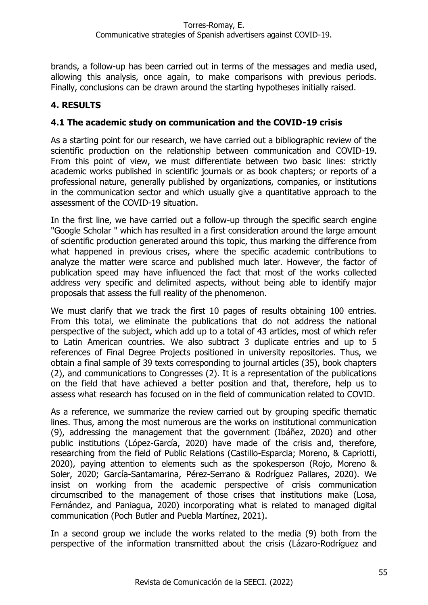brands, a follow-up has been carried out in terms of the messages and media used, allowing this analysis, once again, to make comparisons with previous periods. Finally, conclusions can be drawn around the starting hypotheses initially raised.

## **4. RESULTS**

### **4.1 The academic study on communication and the COVID-19 crisis**

As a starting point for our research, we have carried out a bibliographic review of the scientific production on the relationship between communication and COVID-19. From this point of view, we must differentiate between two basic lines: strictly academic works published in scientific journals or as book chapters; or reports of a professional nature, generally published by organizations, companies, or institutions in the communication sector and which usually give a quantitative approach to the assessment of the COVID-19 situation.

In the first line, we have carried out a follow-up through the specific search engine "Google Scholar " which has resulted in a first consideration around the large amount of scientific production generated around this topic, thus marking the difference from what happened in previous crises, where the specific academic contributions to analyze the matter were scarce and published much later. However, the factor of publication speed may have influenced the fact that most of the works collected address very specific and delimited aspects, without being able to identify major proposals that assess the full reality of the phenomenon.

We must clarify that we track the first 10 pages of results obtaining 100 entries. From this total, we eliminate the publications that do not address the national perspective of the subject, which add up to a total of 43 articles, most of which refer to Latin American countries. We also subtract 3 duplicate entries and up to 5 references of Final Degree Projects positioned in university repositories. Thus, we obtain a final sample of 39 texts corresponding to journal articles (35), book chapters (2), and communications to Congresses (2). It is a representation of the publications on the field that have achieved a better position and that, therefore, help us to assess what research has focused on in the field of communication related to COVID.

As a reference, we summarize the review carried out by grouping specific thematic lines. Thus, among the most numerous are the works on institutional communication (9), addressing the management that the government (Ibáñez, 2020) and other public institutions (López-García, 2020) have made of the crisis and, therefore, researching from the field of Public Relations (Castillo-Esparcia; Moreno, & Capriotti, 2020), paying attention to elements such as the spokesperson (Rojo, Moreno & Soler, 2020; García-Santamarina, Pérez-Serrano & Rodríguez Pallares, 2020). We insist on working from the academic perspective of crisis communication circumscribed to the management of those crises that institutions make (Losa, Fernández, and Paniagua, 2020) incorporating what is related to managed digital communication (Poch Butler and Puebla Martínez, 2021).

In a second group we include the works related to the media (9) both from the perspective of the information transmitted about the crisis (Lázaro-Rodríguez and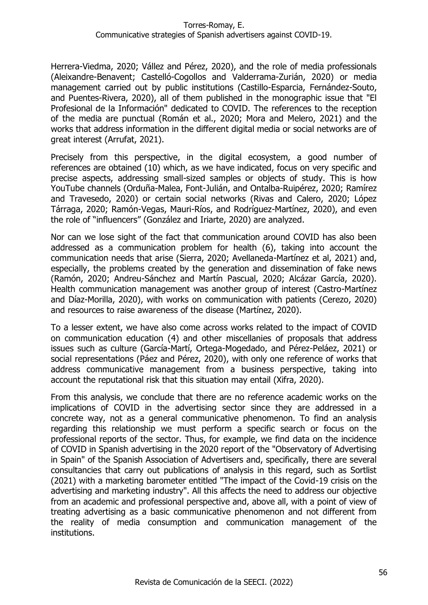Herrera-Viedma, 2020; Vállez and Pérez, 2020), and the role of media professionals (Aleixandre-Benavent; Castelló-Cogollos and Valderrama-Zurián, 2020) or media management carried out by public institutions (Castillo-Esparcia, Fernández-Souto, and Puentes-Rivera, 2020), all of them published in the monographic issue that "El Profesional de la Información" dedicated to COVID. The references to the reception of the media are punctual (Román et al., 2020; Mora and Melero, 2021) and the works that address information in the different digital media or social networks are of great interest (Arrufat, 2021).

Precisely from this perspective, in the digital ecosystem, a good number of references are obtained (10) which, as we have indicated, focus on very specific and precise aspects, addressing small-sized samples or objects of study. This is how YouTube channels (Orduña-Malea, Font-Julián, and Ontalba-Ruipérez, 2020; Ramírez and Travesedo, 2020) or certain social networks (Rivas and Calero, 2020; López Tárraga, 2020; Ramón-Vegas, Mauri-Ríos, and Rodríguez-Martínez, 2020), and even the role of "influencers" (González and Iriarte, 2020) are analyzed.

Nor can we lose sight of the fact that communication around COVID has also been addressed as a communication problem for health (6), taking into account the communication needs that arise (Sierra, 2020; Avellaneda-Martínez et al, 2021) and, especially, the problems created by the generation and dissemination of fake news (Ramón, 2020; Andreu-Sánchez and Martín Pascual, 2020; Alcázar García, 2020). Health communication management was another group of interest (Castro-Martínez and Díaz-Morilla, 2020), with works on communication with patients (Cerezo, 2020) and resources to raise awareness of the disease (Martínez, 2020).

To a lesser extent, we have also come across works related to the impact of COVID on communication education (4) and other miscellanies of proposals that address issues such as culture (García-Martí, Ortega-Mogedado, and Pérez-Peláez, 2021) or social representations (Páez and Pérez, 2020), with only one reference of works that address communicative management from a business perspective, taking into account the reputational risk that this situation may entail (Xifra, 2020).

From this analysis, we conclude that there are no reference academic works on the implications of COVID in the advertising sector since they are addressed in a concrete way, not as a general communicative phenomenon. To find an analysis regarding this relationship we must perform a specific search or focus on the professional reports of the sector. Thus, for example, we find data on the incidence of COVID in Spanish advertising in the 2020 report of the "Observatory of Advertising in Spain" of the Spanish Association of Advertisers and, specifically, there are several consultancies that carry out publications of analysis in this regard, such as Sortlist (2021) with a marketing barometer entitled "The impact of the Covid-19 crisis on the advertising and marketing industry". All this affects the need to address our objective from an academic and professional perspective and, above all, with a point of view of treating advertising as a basic communicative phenomenon and not different from the reality of media consumption and communication management of the institutions.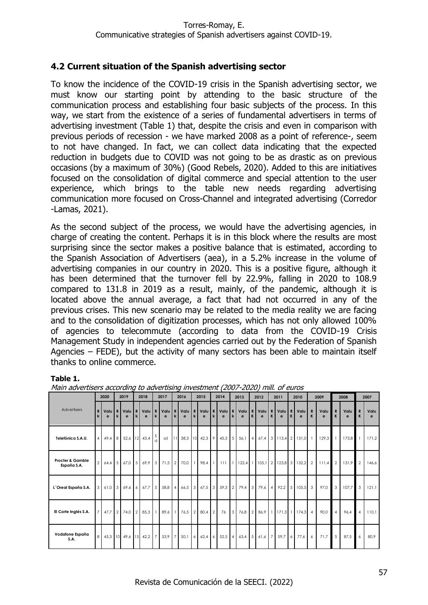### **4.2 Current situation of the Spanish advertising sector**

To know the incidence of the COVID-19 crisis in the Spanish advertising sector, we must know our starting point by attending to the basic structure of the communication process and establishing four basic subjects of the process. In this way, we start from the existence of a series of fundamental advertisers in terms of advertising investment (Table 1) that, despite the crisis and even in comparison with previous periods of recession - we have marked 2008 as a point of reference-, seem to not have changed. In fact, we can collect data indicating that the expected reduction in budgets due to COVID was not going to be as drastic as on previous occasions (by a maximum of 30%) (Good Rebels, 2020). Added to this are initiatives focused on the consolidation of digital commerce and special attention to the user experience, which brings to the table new needs regarding advertising communication more focused on Cross-Channel and integrated advertising (Corredor -Lamas, 2021).

As the second subject of the process, we would have the advertising agencies, in charge of creating the content. Perhaps it is in this block where the results are most surprising since the sector makes a positive balance that is estimated, according to the Spanish Association of Advertisers (aea), in a 5.2% increase in the volume of advertising companies in our country in 2020. This is a positive figure, although it has been determined that the turnover fell by 22.9%, falling in 2020 to 108.9 compared to 131.8 in 2019 as a result, mainly, of the pandemic, although it is located above the annual average, a fact that had not occurred in any of the previous crises. This new scenario may be related to the media reality we are facing and to the consolidation of digitization processes, which has not only allowed 100% of agencies to telecommute (according to data from the COVID-19 Crisis Management Study in independent agencies carried out by the Federation of Spanish Agencies – FEDE), but the activity of many sectors has been able to maintain itself thanks to online commerce.

#### **Table 1.**

|                                            |               | 2020      |                | 2019         |                | 2018                   |   | 2017                   |  | 2016                 |                  | 2015          |  | 2014        |  | 2013                                                     |  | 2012                     |              | 2011      |   | 2010      |              | 2009        |                | 2008              |                  | 2007      |  |
|--------------------------------------------|---------------|-----------|----------------|--------------|----------------|------------------------|---|------------------------|--|----------------------|------------------|---------------|--|-------------|--|----------------------------------------------------------|--|--------------------------|--------------|-----------|---|-----------|--------------|-------------|----------------|-------------------|------------------|-----------|--|
| Advertisers                                | $\mathbf{R}$  | Valu<br>e |                | Valu         | R              | Valu<br>e              | R | Valu R<br>$\epsilon$   |  | Valu<br>$\mathbf{e}$ | R<br>$\mathbf k$ | $ValU$ R<br>e |  | Valu R<br>e |  | Valu<br>e                                                |  | R Valu R<br>e            | $\mathsf{K}$ | Valu<br>e | R | Valu<br>e | $\mathbf{R}$ | Valu<br>e   | $\mathbf{R}$   | Valu<br>e         | $\mathbf R$<br>K | Valu<br>e |  |
| Telefónica S.A.U.                          |               | 49,4      | $\overline{8}$ | 52,6 12 43,4 |                |                        |   | sd                     |  | 11 38,3 10 42,3 9    |                  |               |  |             |  | 45,3 5 56,1                                              |  | 4 67.4 3 113.4 2 131.0 1 |              |           |   |           |              | $129.3$   1 |                | 173,8 1           |                  | 171,2     |  |
| <b>Procter &amp; Gamble</b><br>España S.A. | $\mathcal{P}$ | 64,4      |                | 67,0         |                |                        |   | 5 69.9 3 71.5 2 70.0 1 |  |                      |                  |               |  |             |  | 98.4 1 111 1 122.4 1 105.1 2 123.8 3 132.2 2             |  |                          |              |           |   |           |              |             |                | $111.4$ 2 131,9 2 |                  | 146,6     |  |
| L'Oreal España S.A.                        | $\mathcal{E}$ | $61,0$ 3  |                | 69,6         |                | $6 \t 67.7 \t 5$       |   |                        |  |                      |                  |               |  |             |  | 58,8 4 66,5 3 67,5 3 59,3 2 79,4 3 79,6 4 92,2 5 105,5 3 |  |                          |              |           |   |           |              | 97,0        | 3 <sup>1</sup> | 107,7             | 3 <sup>1</sup>   | 121,1     |  |
| El Corte Inglés S.A.                       |               | 47.7      | 2              | 74,0         | $\overline{2}$ | 85,3                   |   | 89,6 1                 |  | 76,5 2 80,4 2        |                  |               |  | 76          |  | $3$ 76,8 2 86,9 1 171,3 1 174,3 4                        |  |                          |              |           |   |           |              | 90.0        | $\overline{4}$ | 96,4              | $\overline{4}$   | 110,1     |  |
| Vodafone España<br>S.A.                    | 8             |           |                |              |                | 45,3 10 49,6 15 42,2 7 |   | 53,9 7                 |  | 50,16                |                  | 62,46         |  |             |  | 52,5 4 63,4 5 61,6 7                                     |  |                          |              | 59,7 6    |   | 77,6      | 6            | 71,7        | 5 <sup>1</sup> | 87,5              | 6                | 80,9      |  |

Main advertisers according to advertising investment (2007-2020) mill. of euros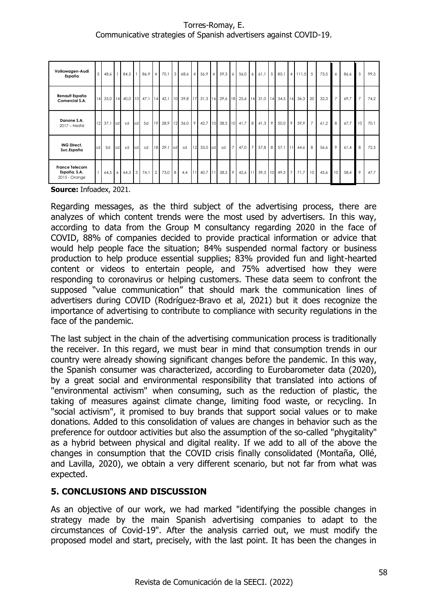#### Torres-Romay, E. Communicative strategies of Spanish advertisers against COVID-19.

| Volkswagen-Audi<br>España                              | 5  | 48,6    |       | 84,5 |     | 86.94                | $70,1$ 3 |    | 68,6 4 56,9 4                                                                           |               |                       |                | 59,3 6 56,0 6 61,1 5 |          |                             | 85,1 4 111,5 5 |    | 73,5 | 6               | 86,6     | 5              | 99.5 |
|--------------------------------------------------------|----|---------|-------|------|-----|----------------------|----------|----|-----------------------------------------------------------------------------------------|---------------|-----------------------|----------------|----------------------|----------|-----------------------------|----------------|----|------|-----------------|----------|----------------|------|
| Renault España<br>Comercial S.A.                       |    |         |       |      |     |                      |          |    | 35,0 14 40,0 10 47,1 14 42,1 10 39,8 17 31,3 16 29,6 18 25,6 14 31,0 14 34,5 16 36,3 20 |               |                       |                |                      |          |                             |                |    | 32,3 | 7 <sup>1</sup>  | $69,7$ 7 |                | 74.2 |
| Danone S.A.<br>2017 – Nestlé                           |    | 12 37,1 | sdl   | sd   | sd  |                      |          |    | Sd   19 28,9 12 36,0 9 42,7 10 38,5 10 41,7 8 41,3 9                                    |               |                       |                |                      |          |                             | 50,0 9 59,9 7  |    | 61,2 | 8               | 67,7 10  |                | 70.1 |
| <b>ING Direct,</b><br>Suc.España                       | sd | Sd      | Isd I | sd   | sdl | sd                   | 18 29,1  | sd |                                                                                         | sd 12 33,0 sd | sd                    | 7 <sup>1</sup> | 47,0 7               | $57,8$ 8 |                             | 57,1 11 44,6   | 8  | 56,6 | 9               | 61,4     | 8              | 72.5 |
| <b>France Telecom</b><br>España, S.A.<br>2015 - Orange |    |         |       |      |     | 64,5 6 64,3 3 74,1 2 | 73,0 8   |    |                                                                                         |               | 4,4 11 40,7 11 38,5 9 |                |                      |          | 42,6 11 39,3 10 49,5 7 71,7 |                | 10 | 45,6 | 10 <sup>1</sup> | 58,4     | $\overline{9}$ | 47.7 |

**Source:** Infoadex, 2021.

Regarding messages, as the third subject of the advertising process, there are analyzes of which content trends were the most used by advertisers. In this way, according to data from the Group M consultancy regarding 2020 in the face of COVID, 88% of companies decided to provide practical information or advice that would help people face the situation; 84% suspended normal factory or business production to help produce essential supplies; 83% provided fun and light-hearted content or videos to entertain people, and 75% advertised how they were responding to coronavirus or helping customers. These data seem to confront the supposed "value communication" that should mark the communication lines of advertisers during COVID (Rodríguez-Bravo et al, 2021) but it does recognize the importance of advertising to contribute to compliance with security regulations in the face of the pandemic.

The last subject in the chain of the advertising communication process is traditionally the receiver. In this regard, we must bear in mind that consumption trends in our country were already showing significant changes before the pandemic. In this way, the Spanish consumer was characterized, according to Eurobarometer data (2020), by a great social and environmental responsibility that translated into actions of "environmental activism" when consuming, such as the reduction of plastic, the taking of measures against climate change, limiting food waste, or recycling. In "social activism", it promised to buy brands that support social values or to make donations. Added to this consolidation of values are changes in behavior such as the preference for outdoor activities but also the assumption of the so-called "phygitality" as a hybrid between physical and digital reality. If we add to all of the above the changes in consumption that the COVID crisis finally consolidated (Montaña, Ollé, and Lavilla, 2020), we obtain a very different scenario, but not far from what was expected.

### **5. CONCLUSIONS AND DISCUSSION**

As an objective of our work, we had marked "identifying the possible changes in strategy made by the main Spanish advertising companies to adapt to the circumstances of Covid-19". After the analysis carried out, we must modify the proposed model and start, precisely, with the last point. It has been the changes in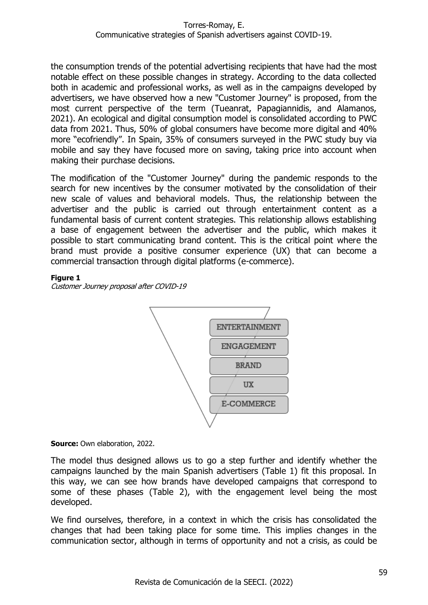the consumption trends of the potential advertising recipients that have had the most notable effect on these possible changes in strategy. According to the data collected both in academic and professional works, as well as in the campaigns developed by advertisers, we have observed how a new "Customer Journey" is proposed, from the most current perspective of the term (Tueanrat, Papagiannidis, and Alamanos, 2021). An ecological and digital consumption model is consolidated according to PWC data from 2021. Thus, 50% of global consumers have become more digital and 40% more "ecofriendly". In Spain, 35% of consumers surveyed in the PWC study buy via mobile and say they have focused more on saving, taking price into account when making their purchase decisions.

The modification of the "Customer Journey" during the pandemic responds to the search for new incentives by the consumer motivated by the consolidation of their new scale of values and behavioral models. Thus, the relationship between the advertiser and the public is carried out through entertainment content as a fundamental basis of current content strategies. This relationship allows establishing a base of engagement between the advertiser and the public, which makes it possible to start communicating brand content. This is the critical point where the brand must provide a positive consumer experience (UX) that can become a commercial transaction through digital platforms (e-commerce).

#### **Figure 1**

Customer Journey proposal after COVID-19



**Source:** Own elaboration, 2022.

The model thus designed allows us to go a step further and identify whether the campaigns launched by the main Spanish advertisers (Table 1) fit this proposal. In this way, we can see how brands have developed campaigns that correspond to some of these phases (Table 2), with the engagement level being the most developed.

We find ourselves, therefore, in a context in which the crisis has consolidated the changes that had been taking place for some time. This implies changes in the communication sector, although in terms of opportunity and not a crisis, as could be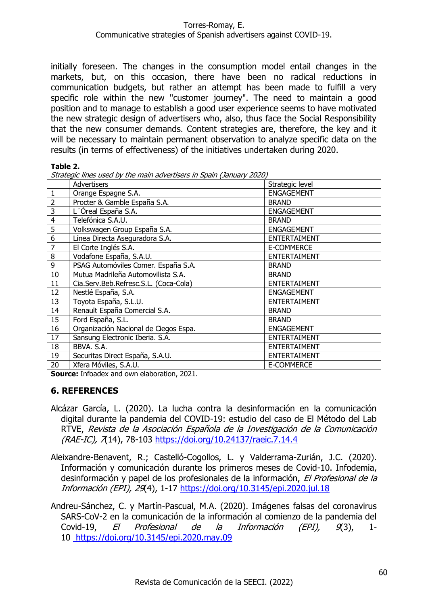initially foreseen. The changes in the consumption model entail changes in the markets, but, on this occasion, there have been no radical reductions in communication budgets, but rather an attempt has been made to fulfill a very specific role within the new "customer journey". The need to maintain a good position and to manage to establish a good user experience seems to have motivated the new strategic design of advertisers who, also, thus face the Social Responsibility that the new consumer demands. Content strategies are, therefore, the key and it will be necessary to maintain permanent observation to analyze specific data on the results (in terms of effectiveness) of the initiatives undertaken during 2020.

#### **Table 2.**

Strategic lines used by the main advertisers in Spain (January 2020)

|                | $\sim$ mice about by the main autorciocide in opain (bandar) EULO, |                     |  |  |  |  |  |  |  |  |  |
|----------------|--------------------------------------------------------------------|---------------------|--|--|--|--|--|--|--|--|--|
|                | Advertisers                                                        | Strategic level     |  |  |  |  |  |  |  |  |  |
| $\mathbf{1}$   | Orange Espagne S.A.                                                | <b>ENGAGEMENT</b>   |  |  |  |  |  |  |  |  |  |
| $\overline{2}$ | Procter & Gamble España S.A.                                       | <b>BRAND</b>        |  |  |  |  |  |  |  |  |  |
| $\overline{3}$ | L'Óreal España S.A.                                                | <b>ENGAGEMENT</b>   |  |  |  |  |  |  |  |  |  |
| $\overline{4}$ | Telefónica S.A.U.                                                  | <b>BRAND</b>        |  |  |  |  |  |  |  |  |  |
| $\overline{5}$ | Volkswagen Group España S.A.                                       | <b>ENGAGEMENT</b>   |  |  |  |  |  |  |  |  |  |
| 6              | Línea Directa Aseguradora S.A.                                     | <b>ENTERTAIMENT</b> |  |  |  |  |  |  |  |  |  |
| $\overline{7}$ | El Corte Inglés S.A.                                               | E-COMMERCE          |  |  |  |  |  |  |  |  |  |
| 8              | Vodafone España, S.A.U.                                            | <b>ENTERTAIMENT</b> |  |  |  |  |  |  |  |  |  |
| 9              | PSAG Automóviles Comer. España S.A.                                | <b>BRAND</b>        |  |  |  |  |  |  |  |  |  |
| 10             | Mutua Madrileña Automovilista S.A.                                 | <b>BRAND</b>        |  |  |  |  |  |  |  |  |  |
| 11             | Cia.Serv.Beb.Refresc.S.L. (Coca-Cola)                              | <b>ENTERTAIMENT</b> |  |  |  |  |  |  |  |  |  |
| 12             | Nestlé España, S.A.                                                | <b>ENGAGEMENT</b>   |  |  |  |  |  |  |  |  |  |
| 13             | Toyota España, S.L.U.                                              | <b>ENTERTAIMENT</b> |  |  |  |  |  |  |  |  |  |
| 14             | Renault España Comercial S.A.                                      | <b>BRAND</b>        |  |  |  |  |  |  |  |  |  |
| 15             | Ford España, S.L.                                                  | <b>BRAND</b>        |  |  |  |  |  |  |  |  |  |
| 16             | Organización Nacional de Ciegos Espa.                              | <b>ENGAGEMENT</b>   |  |  |  |  |  |  |  |  |  |
| 17             | Sansung Electronic Iberia. S.A.                                    | <b>ENTERTAIMENT</b> |  |  |  |  |  |  |  |  |  |
| 18             | BBVA. S.A.                                                         | <b>ENTERTAIMENT</b> |  |  |  |  |  |  |  |  |  |
| 19             | Securitas Direct España, S.A.U.                                    | <b>ENTERTAIMENT</b> |  |  |  |  |  |  |  |  |  |
| 20             | Xfera Móviles, S.A.U.                                              | E-COMMERCE          |  |  |  |  |  |  |  |  |  |

**Source:** Infoadex and own elaboration, 2021.

### **6. REFERENCES**

- Alcázar García, L. (2020). La lucha contra la desinformación en la comunicación digital durante la pandemia del COVID-19: estudio del caso de El Método del Lab RTVE, Revista de la Asociación Española de la Investigación de la Comunicación (RAE-IC), 7(14), 78-103<https://doi.org/10.24137/raeic.7.14.4>
- Aleixandre-Benavent, R.; Castelló-Cogollos, L. y Valderrama-Zurián, J.C. (2020). Información y comunicación durante los primeros meses de Covid-10. Infodemia, desinformación y papel de los profesionales de la información, El Profesional de la Información (EPI), 29(4), 1-17<https://doi.org/10.3145/epi.2020.jul.18>
- Andreu-Sánchez, C. y Martín-Pascual, M.A. (2020). Imágenes falsas del coronavirus SARS-CoV-2 en la comunicación de la información al comienzo de la pandemia del Covid-19, El Profesional de la Información (EPI), 9(3), 1- 10 <https://doi.org/10.3145/epi.2020.may.09>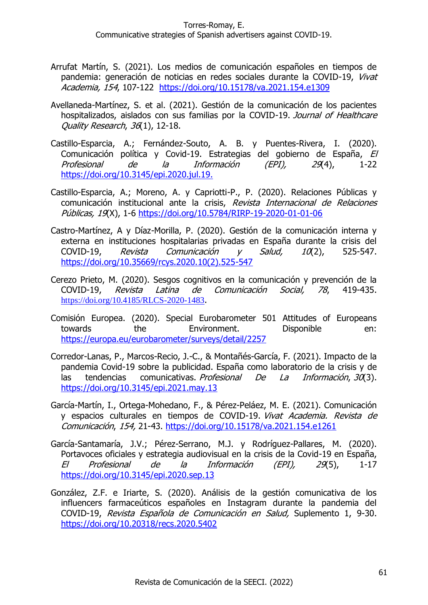- Arrufat Martín, S. (2021). Los medios de comunicación españoles en tiempos de pandemia: generación de noticias en redes sociales durante la COVID-19, Vivat Academia, 154, 107-122 <https://doi.org/10.15178/va.2021.154.e1309>
- Avellaneda-Martínez, S. et al. (2021). Gestión de la comunicación de los pacientes hospitalizados, aislados con sus familias por la COVID-19. Journal of Healthcare Quality Research, 36(1), 12-18.
- Castillo-Esparcia, A.; Fernández-Souto, A. B. y Puentes-Rivera, I. (2020). Comunicación política y Covid-19. Estrategias del gobierno de España, El Profesional de la Información (EPI), 29(4), 1-22 [https://doi.org/10.3145/epi.2020.jul.19.](https://doi.org/10.3145/epi.2020.jul.19)
- Castillo-Esparcia, A.; Moreno, A. y Capriotti-P., P. (2020). Relaciones Públicas y comunicación institucional ante la crisis, Revista Internacional de Relaciones Públicas, 19(X), 1-6<https://doi.org/10.5784/RIRP-19-2020-01-01-06>
- Castro-Martínez, A y Díaz-Morilla, P. (2020). Gestión de la comunicación interna y externa en instituciones hospitalarias privadas en España durante la crisis del COVID-19, Revista Comunicación y Salud,  $10(2)$ , 525-547. [https://doi.org/10.35669/rcys.2020.10\(2\).525-547](https://doi.org/10.35669/rcys.2020.10(2).525-547)
- Cerezo Prieto, M. (2020). Sesgos cognitivos en la comunicación y prevención de la COVID-19, Revista Latina de Comunicación Social, 78, 419-435. <https://doi.org/10.4185/RLCS-2020-1483>.
- Comisión Europea. (2020). Special Eurobarometer 501 Attitudes of Europeans towards the Environment. Disponible en: <https://europa.eu/eurobarometer/surveys/detail/2257>
- Corredor-Lanas, P., Marcos-Recio, J.-C., & Montañés-García, F. (2021). Impacto de la pandemia Covid-19 sobre la publicidad. España como laboratorio de la crisis y de las tendencias comunicativas. *Profesional De La Información, 30*(3). <https://doi.org/10.3145/epi.2021.may.13>
- García-Martín, I., Ortega-Mohedano, F., & Pérez-Peláez, M. E. (2021). Comunicación y espacios culturales en tiempos de COVID-19. Vivat Academia. Revista de Comunicación, 154, 21-43.<https://doi.org/10.15178/va.2021.154.e1261>
- García-Santamaría, J.V.; Pérez-Serrano, M.J. y Rodríguez-Pallares, M. (2020). Portavoces oficiales y estrategia audiovisual en la crisis de la Covid-19 en España, El Profesional de la Información (EPI), 29(5), 1-17 <https://doi.org/10.3145/epi.2020.sep.13>
- González, Z.F. e Iriarte, S. (2020). Análisis de la gestión comunicativa de los influencers farmaceúticos españoles en Instagram durante la pandemia del COVID-19, Revista Española de Comunicación en Salud, Suplemento 1, 9-30. <https://doi.org/10.20318/recs.2020.5402>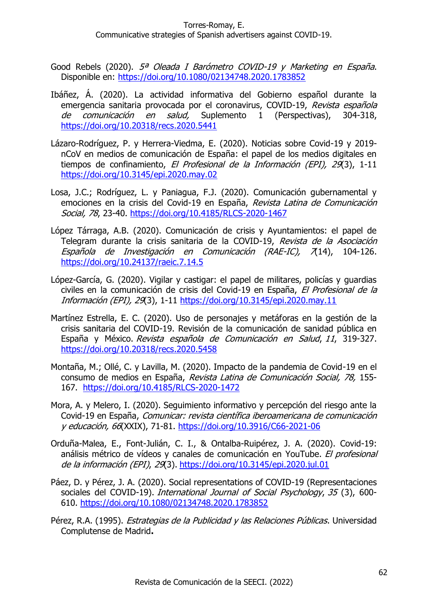- Good Rebels (2020). 5ª Oleada I Barómetro COVID-19 y Marketing en España. Disponible en:<https://doi.org/10.1080/02134748.2020.1783852>
- Ibáñez, Á. (2020). La actividad informativa del Gobierno español durante la emergencia sanitaria provocada por el coronavirus, COVID-19, Revista española de comunicación en salud, Suplemento 1 (Perspectivas), 304-318, <https://doi.org/10.20318/recs.2020.5441>
- Lázaro-Rodríguez, P. y Herrera-Viedma, E. (2020). Noticias sobre Covid-19 y 2019 nCoV en medios de comunicación de España: el papel de los medios digitales en tiempos de confinamiento, El Profesional de la Información (EPI), 29(3), 1-11 [https://doi.org/10.3145/epi.2020.may.02](https://doi.org/10.3145/epi.2020.may.029)
- Losa, J.C.; Rodríguez, L. y Paniagua, F.J. (2020). Comunicación gubernamental y emociones en la crisis del Covid-19 en España, Revista Latina de Comunicación Social, 78, 23-40.<https://doi.org/10.4185/RLCS-2020-1467>
- López Tárraga, A.B. (2020). Comunicación de crisis y Ayuntamientos: el papel de Telegram durante la crisis sanitaria de la COVID-19, Revista de la Asociación Española de Investigación en Comunicación (RAE-IC), 7(14), 104-126. <https://doi.org/10.24137/raeic.7.14.5>
- López-García, G. (2020). Vigilar y castigar: el papel de militares, policías y guardias civiles en la comunicación de crisis del Covid-19 en España, El Profesional de la Información (EPI), 29(3), 1-11<https://doi.org/10.3145/epi.2020.may.11>
- Martínez Estrella, E. C. (2020). Uso de personajes y metáforas en la gestión de la crisis sanitaria del COVID-19. Revisión de la comunicación de sanidad pública en España y México. Revista española de Comunicación en Salud, 11, 319-327. <https://doi.org/10.20318/recs.2020.5458>
- Montaña, M.; Ollé, C. y Lavilla, M. (2020). Impacto de la pandemia de Covid-19 en el consumo de medios en España, Revista Latina de Comunicación Social, 78, 155- 167. <https://doi.org/10.4185/RLCS-2020-1472>
- Mora, A. y Melero, I. (2020). Seguimiento informativo y percepción del riesgo ante la Covid-19 en España, Comunicar: revista científica iberoamericana de comunicación y educación, 66(XXIX), 71-81.<https://doi.org/10.3916/C66-2021-06>
- Orduña-Malea, E., Font-Julián, C. I., & Ontalba-Ruipérez, J. A. (2020). Covid-19: análisis métrico de vídeos y canales de comunicación en YouTube. El profesional de la información (EPI), 29(3). <https://doi.org/10.3145/epi.2020.jul.01>
- Páez, D. y Pérez, J. A. (2020). Social representations of COVID-19 (Representaciones sociales del COVID-19). International Journal of Social Psychology, 35 (3), 600-610.<https://doi.org/10.1080/02134748.2020.1783852>
- Pérez, R.A. (1995). *Estrategias de la Publicidad y las Relaciones Públicas*. Universidad Complutense de Madrid**.**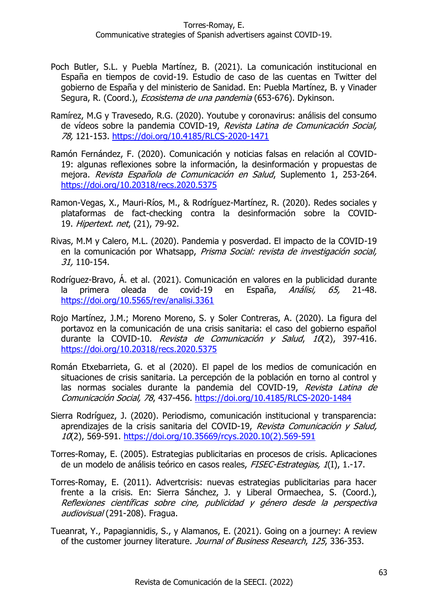- Poch Butler, S.L. y Puebla Martínez, B. (2021). La comunicación institucional en España en tiempos de covid-19. Estudio de caso de las cuentas en Twitter del gobierno de España y del ministerio de Sanidad. En: Puebla Martínez, B. y Vinader Segura, R. (Coord.), *Ecosistema de una pandemia* (653-676). Dykinson.
- Ramírez, M.G y Travesedo, R.G. (2020). Youtube y coronavirus: análisis del consumo de vídeos sobre la pandemia COVID-19, Revista Latina de Comunicación Social, 78, 121-153.<https://doi.org/10.4185/RLCS-2020-1471>
- Ramón Fernández, F. (2020). Comunicación y noticias falsas en relación al COVID-19: algunas reflexiones sobre la información, la desinformación y propuestas de mejora. Revista Española de Comunicación en Salud, Suplemento 1, 253-264. <https://doi.org/10.20318/recs.2020.5375>
- Ramon-Vegas, X., Mauri-Ríos, M., & Rodríguez-Martínez, R. (2020). Redes sociales y plataformas de fact-checking contra la desinformación sobre la COVID-19. Hipertext. net, (21), 79-92.
- Rivas, M.M y Calero, M.L. (2020). Pandemia y posverdad. El impacto de la COVID-19 en la comunicación por Whatsapp, Prisma Social: revista de investigación social, 31, 110-154.
- Rodríguez-Bravo, Á. et al. (2021). Comunicación en valores en la publicidad durante la primera oleada de covid-19 en España, *Análisi, 65,* 21-48. <https://doi.org/10.5565/rev/analisi.3361>
- Rojo Martínez, J.M.; Moreno Moreno, S. y Soler Contreras, A. (2020). La figura del portavoz en la comunicación de una crisis sanitaria: el caso del gobierno español durante la COVID-10. Revista de Comunicación y Salud,  $10(2)$ , 397-416. <https://doi.org/10.20318/recs.2020.5375>
- Román Etxebarrieta, G. et al (2020). El papel de los medios de comunicación en situaciones de crisis sanitaria. La percepción de la población en torno al control y las normas sociales durante la pandemia del COVID-19, Revista Latina de Comunicación Social, 78, 437-456.<https://doi.org/10.4185/RLCS-2020-1484>
- Sierra Rodríguez, J. (2020). Periodismo, comunicación institucional y transparencia: aprendizajes de la crisis sanitaria del COVID-19, Revista Comunicación y Salud, 10(2), 569-591. [https://doi.org/10.35669/rcys.2020.10\(2\).569-591](https://doi.org/10.35669/rcys.2020.10(2).569-591)
- Torres-Romay, E. (2005). Estrategias publicitarias en procesos de crisis. Aplicaciones de un modelo de análisis teórico en casos reales, FISEC-Estrategias, 1(I), 1.-17.
- Torres-Romay, E. (2011). Advertcrisis: nuevas estrategias publicitarias para hacer frente a la crisis. En: Sierra Sánchez, J. y Liberal Ormaechea, S. (Coord.), Reflexiones científicas sobre cine, publicidad y género desde la perspectiva audiovisual (291-208). Fragua.
- Tueanrat, Y., Papagiannidis, S., y Alamanos, E. (2021). Going on a journey: A review of the customer journey literature. Journal of Business Research, 125, 336-353.